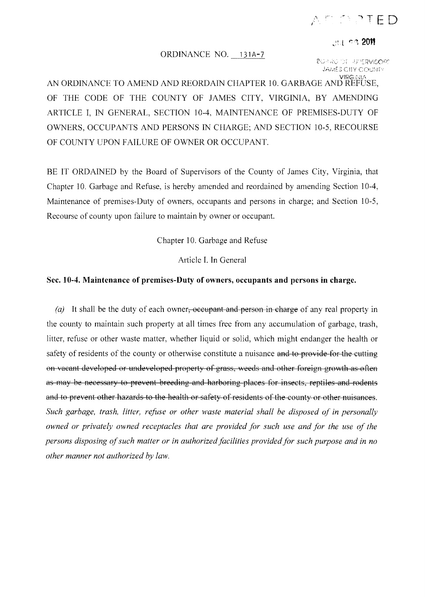## $\wedge$   $\cap$   $\wedge$   $\wedge$   $\top$   $\in$   $D$

进行的 2011

## ORDINANCE NO. 131A-7

 $[{\mathbb R}C_0\times {\mathbb R}C_0]$  of authorized by JAMES CIIY COUNTY

AN ORDINANCE TO AMEND AND REORDAIN CHAPTER 10. GARBAGE AND REFUSE, OF THE CODE OF THE COUNTY OF JAMES CITY, VIRGINIA, BY AMENDING ARTICLE I, IN GENERAL, SECTION 10-4, MAINTENANCE OF PREMISES-DUTY OF OWNERS, OCCUPANTS AND PERSONS IN CHARGE; AND SECTION 10-5, RECOURSE OF COUNTY UPON FAILURE OF OWNER OR OCCUPANT.

BE IT ORDAINED by the Board of Supervisors of the County of James City, Virginia, that Chapter 10. Garbage and Refuse, is hereby amended and reordained by amending Section 10-4, Maintenance of premises-Duty of owners, occupants and persons in charge; and Section 10-5, Recourse of county upon failure to maintain by owner or occupant.

Chapter 10. Garbage and Refuse

Article I. In General

## **Sec. 10-4. Maintenance** of premises-Duty **of owners, occupants and persons in charge.**

(a) It shall be the duty of each owner, occupant and person in charge of any real property in the county to maintain such property at all times free from any accumulation of garbage, trash, litter, refuse or other waste matter, whether liquid or solid, which might endanger the health or safety of residents of the county or otherwise constitute a nuisance and to provide for the cutting on vacant developed or undeveloped property of grass, weeds and other foreign growth as often as may he necessary to prevent breeding and harboring places for insects, reptiles and rodents and to prevent other hazards to the health or safety of residents of the county or other nuisances. *Such garbage, trash, litter, refuse or other waste material shall be disposed of in personally owned or privately owned receptacles that are provided for such use and for the use of the persons disposing of such matter or in authorized facilities provided for such purpose and in no other manner not authorized by law.*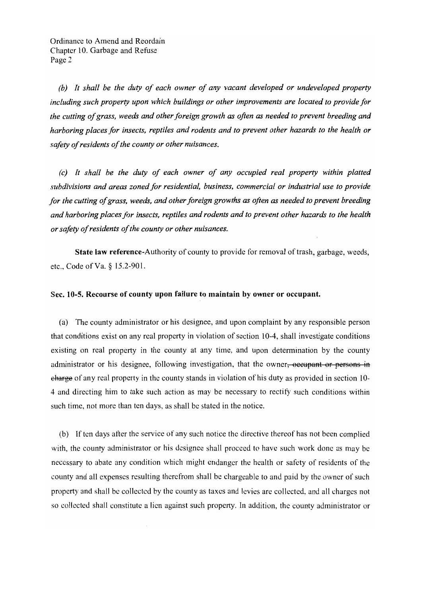(b) It shall be the duty of each owner of any vacant developed or undeveloped property including such property upon which buildings or other improvements are located to provide for the cutting of grass, weeds and other foreign growth as often as needed to prevent breeding and harboring places for insects, reptiles and rodents and to prevent other hazards to the health or safety of residents of the county or other nuisances.

(c) It shall be the duty of each owner of any occupied real property within platted subdivisions and areas zoned for residential, business, commercial or industrial use to provide for the cutting of grass, weeds, and other foreign growths as often as needed to prevent breeding and harboring places for insects, reptiles and rodents and to prevent other hazards to the health or safety of residents of the county or other nuisances.

State law reference-Authority of county to provide for removal of trash, garbage, weeds, etc., Code of Va. § 15.2-901.

## Sec. 10-5. Recourse of county upon failure to maintain by owner or occupant.

(a) The county administrator or his designee, and upon complaint by any responsible person that conditions exist on any real property in violation of section 10-4, shall investigate conditions existing on real property in the county at any time, and upon determination by the county administrator or his designee, following investigation, that the owner<del>, occupant or persons in</del> eharge of any real property in the county stands in violation of his duty as provided in section 10-4 and directing him to take such action as may be necessary to rectify such conditions within such time, not more than ten days, as shall be stated in the notice.

(b) If ten days after the service of any such notice the directive thereof has not been complied with, the county administrator or his designee shall proceed to have such work done as may be necessary to abate any condition which might endanger the health or safety of residents of the county and all expenses resulting therefrom shall be chargeable to and paid by the owner of such property and shall be collected by the county as taxes and levies are collected, and all charges not so collected shall constitute a lien against such property. In addition, the county administrator or